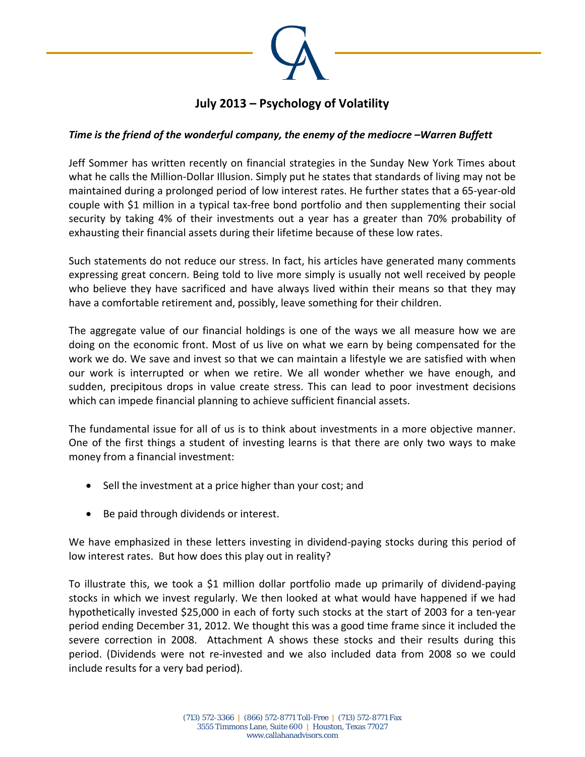

## **July 2013 – Psychology of Volatility**

## *Time is the friend of the wonderful company, the enemy of the mediocre –Warren Buffett*

Jeff Sommer has written recently on financial strategies in the Sunday New York Times about what he calls the Million‐Dollar Illusion. Simply put he states that standards of living may not be maintained during a prolonged period of low interest rates. He further states that a 65‐year‐old couple with \$1 million in a typical tax‐free bond portfolio and then supplementing their social security by taking 4% of their investments out a year has a greater than 70% probability of exhausting their financial assets during their lifetime because of these low rates.

Such statements do not reduce our stress. In fact, his articles have generated many comments expressing great concern. Being told to live more simply is usually not well received by people who believe they have sacrificed and have always lived within their means so that they may have a comfortable retirement and, possibly, leave something for their children.

The aggregate value of our financial holdings is one of the ways we all measure how we are doing on the economic front. Most of us live on what we earn by being compensated for the work we do. We save and invest so that we can maintain a lifestyle we are satisfied with when our work is interrupted or when we retire. We all wonder whether we have enough, and sudden, precipitous drops in value create stress. This can lead to poor investment decisions which can impede financial planning to achieve sufficient financial assets.

The fundamental issue for all of us is to think about investments in a more objective manner. One of the first things a student of investing learns is that there are only two ways to make money from a financial investment:

- Sell the investment at a price higher than your cost; and
- Be paid through dividends or interest.

We have emphasized in these letters investing in dividend-paying stocks during this period of low interest rates. But how does this play out in reality?

To illustrate this, we took a \$1 million dollar portfolio made up primarily of dividend‐paying stocks in which we invest regularly. We then looked at what would have happened if we had hypothetically invested \$25,000 in each of forty such stocks at the start of 2003 for a ten‐year period ending December 31, 2012. We thought this was a good time frame since it included the severe correction in 2008. Attachment A shows these stocks and their results during this period. (Dividends were not re‐invested and we also included data from 2008 so we could include results for a very bad period).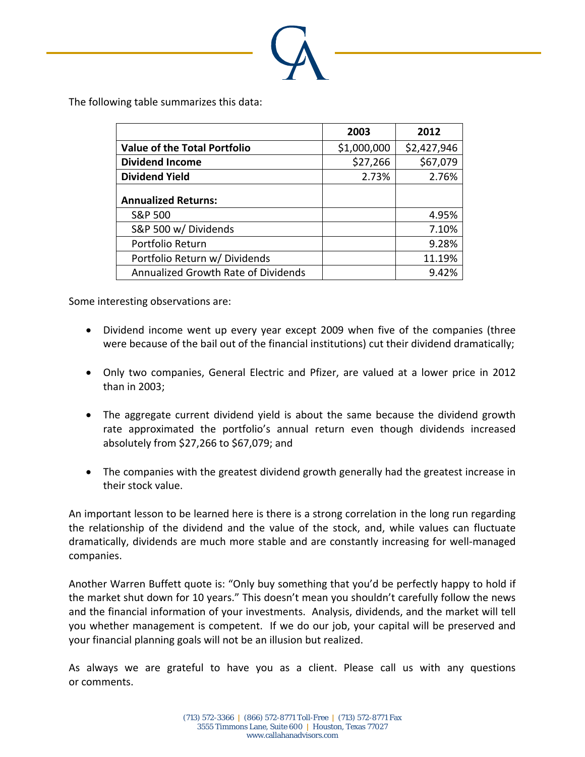

The following table summarizes this data:

|                                     | 2003        | 2012        |
|-------------------------------------|-------------|-------------|
| <b>Value of the Total Portfolio</b> | \$1,000,000 | \$2,427,946 |
| <b>Dividend Income</b>              | \$27,266    | \$67,079    |
| <b>Dividend Yield</b>               | 2.73%       | 2.76%       |
| <b>Annualized Returns:</b>          |             |             |
| <b>S&amp;P 500</b>                  |             | 4.95%       |
| S&P 500 w/ Dividends                |             | 7.10%       |
| Portfolio Return                    |             | 9.28%       |
| Portfolio Return w/ Dividends       |             | 11.19%      |
| Annualized Growth Rate of Dividends |             | 9.42%       |

Some interesting observations are:

- Dividend income went up every year except 2009 when five of the companies (three were because of the bail out of the financial institutions) cut their dividend dramatically;
- Only two companies, General Electric and Pfizer, are valued at a lower price in 2012 than in 2003;
- The aggregate current dividend yield is about the same because the dividend growth rate approximated the portfolio's annual return even though dividends increased absolutely from \$27,266 to \$67,079; and
- The companies with the greatest dividend growth generally had the greatest increase in their stock value.

An important lesson to be learned here is there is a strong correlation in the long run regarding the relationship of the dividend and the value of the stock, and, while values can fluctuate dramatically, dividends are much more stable and are constantly increasing for well‐managed companies.

Another Warren Buffett quote is: "Only buy something that you'd be perfectly happy to hold if the market shut down for 10 years." This doesn't mean you shouldn't carefully follow the news and the financial information of your investments. Analysis, dividends, and the market will tell you whether management is competent. If we do our job, your capital will be preserved and your financial planning goals will not be an illusion but realized.

As always we are grateful to have you as a client. Please call us with any questions or comments.